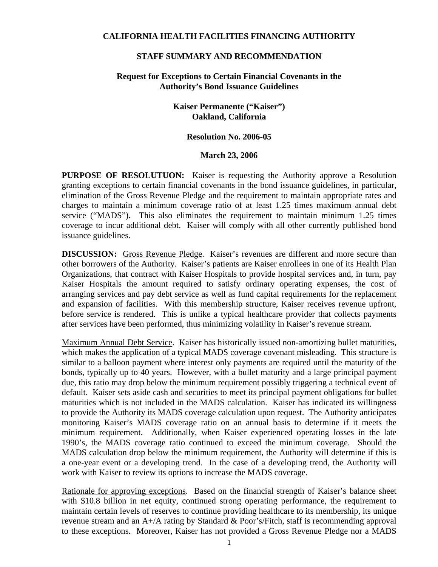#### **CALIFORNIA HEALTH FACILITIES FINANCING AUTHORITY**

#### **STAFF SUMMARY AND RECOMMENDATION**

## **Request for Exceptions to Certain Financial Covenants in the Authority's Bond Issuance Guidelines**

# **Kaiser Permanente ("Kaiser") Oakland, California**

#### **Resolution No. 2006-05**

#### **March 23, 2006**

**PURPOSE OF RESOLUTUON:** Kaiser is requesting the Authority approve a Resolution granting exceptions to certain financial covenants in the bond issuance guidelines, in particular, elimination of the Gross Revenue Pledge and the requirement to maintain appropriate rates and charges to maintain a minimum coverage ratio of at least 1.25 times maximum annual debt service ("MADS"). This also eliminates the requirement to maintain minimum 1.25 times coverage to incur additional debt. Kaiser will comply with all other currently published bond issuance guidelines.

**DISCUSSION:** Gross Revenue Pledge. Kaiser's revenues are different and more secure than other borrowers of the Authority. Kaiser's patients are Kaiser enrollees in one of its Health Plan Organizations, that contract with Kaiser Hospitals to provide hospital services and, in turn, pay Kaiser Hospitals the amount required to satisfy ordinary operating expenses, the cost of arranging services and pay debt service as well as fund capital requirements for the replacement and expansion of facilities. With this membership structure, Kaiser receives revenue upfront, before service is rendered. This is unlike a typical healthcare provider that collects payments after services have been performed, thus minimizing volatility in Kaiser's revenue stream.

Maximum Annual Debt Service. Kaiser has historically issued non-amortizing bullet maturities, which makes the application of a typical MADS coverage covenant misleading. This structure is similar to a balloon payment where interest only payments are required until the maturity of the bonds, typically up to 40 years. However, with a bullet maturity and a large principal payment due, this ratio may drop below the minimum requirement possibly triggering a technical event of default. Kaiser sets aside cash and securities to meet its principal payment obligations for bullet maturities which is not included in the MADS calculation. Kaiser has indicated its willingness to provide the Authority its MADS coverage calculation upon request. The Authority anticipates monitoring Kaiser's MADS coverage ratio on an annual basis to determine if it meets the minimum requirement. Additionally, when Kaiser experienced operating losses in the late 1990's, the MADS coverage ratio continued to exceed the minimum coverage. Should the MADS calculation drop below the minimum requirement, the Authority will determine if this is a one-year event or a developing trend. In the case of a developing trend, the Authority will work with Kaiser to review its options to increase the MADS coverage.

Rationale for approving exceptions. Based on the financial strength of Kaiser's balance sheet with \$10.8 billion in net equity, continued strong operating performance, the requirement to maintain certain levels of reserves to continue providing healthcare to its membership, its unique revenue stream and an A+/A rating by Standard & Poor's/Fitch, staff is recommending approval to these exceptions. Moreover, Kaiser has not provided a Gross Revenue Pledge nor a MADS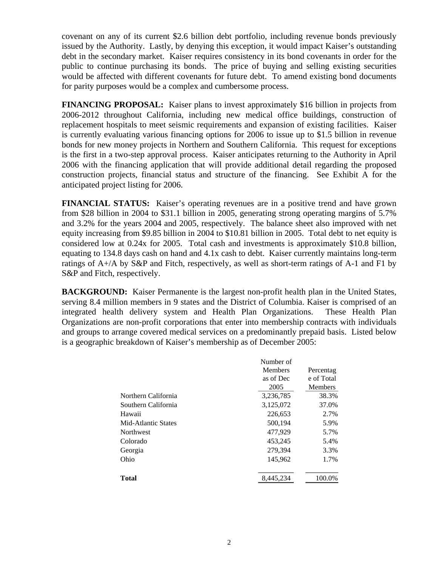covenant on any of its current \$2.6 billion debt portfolio, including revenue bonds previously issued by the Authority. Lastly, by denying this exception, it would impact Kaiser's outstanding debt in the secondary market. Kaiser requires consistency in its bond covenants in order for the public to continue purchasing its bonds. The price of buying and selling existing securities would be affected with different covenants for future debt. To amend existing bond documents for parity purposes would be a complex and cumbersome process.

**FINANCING PROPOSAL:** Kaiser plans to invest approximately \$16 billion in projects from 2006-2012 throughout California, including new medical office buildings, construction of replacement hospitals to meet seismic requirements and expansion of existing facilities. Kaiser is currently evaluating various financing options for 2006 to issue up to \$1.5 billion in revenue bonds for new money projects in Northern and Southern California. This request for exceptions is the first in a two-step approval process. Kaiser anticipates returning to the Authority in April 2006 with the financing application that will provide additional detail regarding the proposed construction projects, financial status and structure of the financing. See Exhibit A for the anticipated project listing for 2006.

**FINANCIAL STATUS:** Kaiser's operating revenues are in a positive trend and have grown from \$28 billion in 2004 to \$31.1 billion in 2005, generating strong operating margins of 5.7% and 3.2% for the years 2004 and 2005, respectively. The balance sheet also improved with net equity increasing from \$9.85 billion in 2004 to \$10.81 billion in 2005. Total debt to net equity is considered low at 0.24x for 2005. Total cash and investments is approximately \$10.8 billion, equating to 134.8 days cash on hand and 4.1x cash to debt. Kaiser currently maintains long-term ratings of A+/A by S&P and Fitch, respectively, as well as short-term ratings of A-1 and F1 by S&P and Fitch, respectively.

**BACKGROUND:** Kaiser Permanente is the largest non-profit health plan in the United States, serving 8.4 million members in 9 states and the District of Columbia. Kaiser is comprised of an integrated health delivery system and Health Plan Organizations. These Health Plan Organizations are non-profit corporations that enter into membership contracts with individuals and groups to arrange covered medical services on a predominantly prepaid basis. Listed below is a geographic breakdown of Kaiser's membership as of December 2005:

|                     | Number of<br>Members<br>as of Dec<br>2005 | Percentag<br>e of Total<br><b>Members</b> |
|---------------------|-------------------------------------------|-------------------------------------------|
| Northern California | 3,236,785                                 | 38.3%                                     |
| Southern California | 3,125,072                                 | 37.0%                                     |
| Hawaii              | 226,653                                   | 2.7%                                      |
| Mid-Atlantic States | 500.194                                   | 5.9%                                      |
| <b>Northwest</b>    | 477,929                                   | 5.7%                                      |
| Colorado            | 453,245                                   | 5.4%                                      |
| Georgia             | 279,394                                   | 3.3%                                      |
| Ohio                | 145,962                                   | 1.7%                                      |
|                     |                                           |                                           |
| <b>Total</b>        | 8,445,234                                 | 100.0%                                    |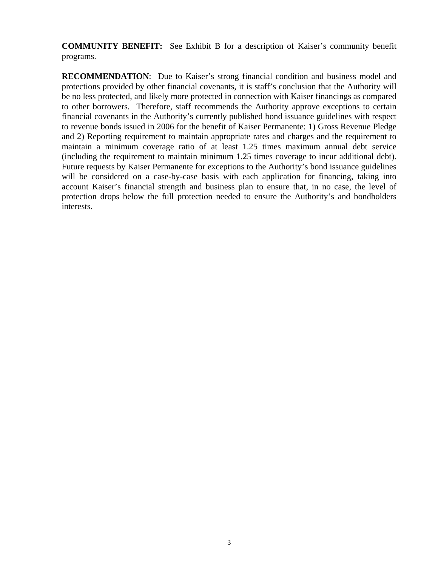**COMMUNITY BENEFIT:** See Exhibit B for a description of Kaiser's community benefit programs.

**RECOMMENDATION**: Due to Kaiser's strong financial condition and business model and protections provided by other financial covenants, it is staff's conclusion that the Authority will be no less protected, and likely more protected in connection with Kaiser financings as compared to other borrowers. Therefore, staff recommends the Authority approve exceptions to certain financial covenants in the Authority's currently published bond issuance guidelines with respect to revenue bonds issued in 2006 for the benefit of Kaiser Permanente: 1) Gross Revenue Pledge and 2) Reporting requirement to maintain appropriate rates and charges and the requirement to maintain a minimum coverage ratio of at least 1.25 times maximum annual debt service (including the requirement to maintain minimum 1.25 times coverage to incur additional debt). Future requests by Kaiser Permanente for exceptions to the Authority's bond issuance guidelines will be considered on a case-by-case basis with each application for financing, taking into account Kaiser's financial strength and business plan to ensure that, in no case, the level of protection drops below the full protection needed to ensure the Authority's and bondholders interests.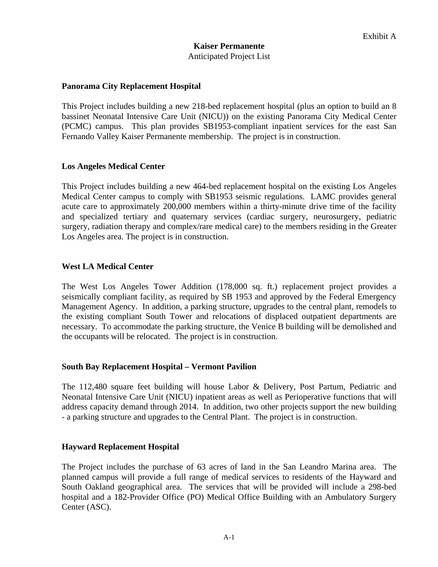## **Panorama City Replacement Hospital**

This Project includes building a new 218-bed replacement hospital (plus an option to build an 8 bassinet Neonatal Intensive Care Unit (NICU)) on the existing Panorama City Medical Center (PCMC) campus. This plan provides SB1953-compliant inpatient services for the east San Fernando Valley Kaiser Permanente membership. The project is in construction.

## **Los Angeles Medical Center**

This Project includes building a new 464-bed replacement hospital on the existing Los Angeles Medical Center campus to comply with SB1953 seismic regulations. LAMC provides general acute care to approximately 200,000 members within a thirty-minute drive time of the facility and specialized tertiary and quaternary services (cardiac surgery, neurosurgery, pediatric surgery, radiation therapy and complex/rare medical care) to the members residing in the Greater Los Angeles area. The project is in construction.

# **West LA Medical Center**

The West Los Angeles Tower Addition (178,000 sq. ft.) replacement project provides a seismically compliant facility, as required by SB 1953 and approved by the Federal Emergency Management Agency. In addition, a parking structure, upgrades to the central plant, remodels to the existing compliant South Tower and relocations of displaced outpatient departments are necessary. To accommodate the parking structure, the Venice B building will be demolished and the occupants will be relocated. The project is in construction.

## **South Bay Replacement Hospital – Vermont Pavilion**

The 112,480 square feet building will house Labor & Delivery, Post Partum, Pediatric and Neonatal Intensive Care Unit (NICU) inpatient areas as well as Perioperative functions that will address capacity demand through 2014. In addition, two other projects support the new building - a parking structure and upgrades to the Central Plant. The project is in construction.

## **Hayward Replacement Hospital**

The Project includes the purchase of 63 acres of land in the San Leandro Marina area. The planned campus will provide a full range of medical services to residents of the Hayward and South Oakland geographical area. The services that will be provided will include a 298-bed hospital and a 182-Provider Office (PO) Medical Office Building with an Ambulatory Surgery Center (ASC).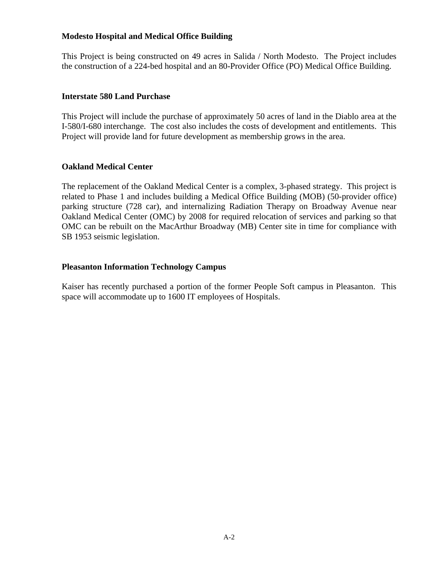# **Modesto Hospital and Medical Office Building**

This Project is being constructed on 49 acres in Salida / North Modesto. The Project includes the construction of a 224-bed hospital and an 80-Provider Office (PO) Medical Office Building.

## **Interstate 580 Land Purchase**

This Project will include the purchase of approximately 50 acres of land in the Diablo area at the I-580/I-680 interchange. The cost also includes the costs of development and entitlements. This Project will provide land for future development as membership grows in the area.

# **Oakland Medical Center**

The replacement of the Oakland Medical Center is a complex, 3-phased strategy. This project is related to Phase 1 and includes building a Medical Office Building (MOB) (50-provider office) parking structure (728 car), and internalizing Radiation Therapy on Broadway Avenue near Oakland Medical Center (OMC) by 2008 for required relocation of services and parking so that OMC can be rebuilt on the MacArthur Broadway (MB) Center site in time for compliance with SB 1953 seismic legislation.

## **Pleasanton Information Technology Campus**

Kaiser has recently purchased a portion of the former People Soft campus in Pleasanton. This space will accommodate up to 1600 IT employees of Hospitals.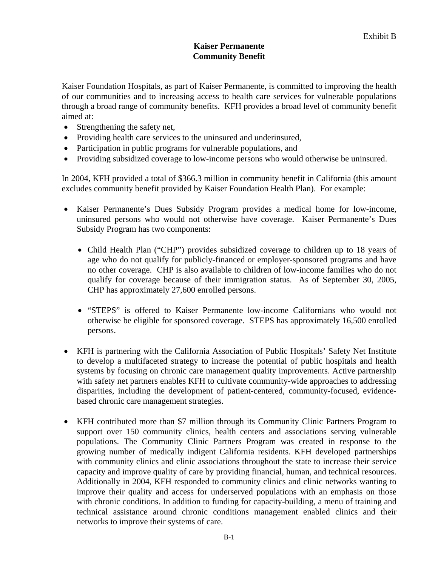# **Kaiser Permanente Community Benefit**

Kaiser Foundation Hospitals, as part of Kaiser Permanente, is committed to improving the health of our communities and to increasing access to health care services for vulnerable populations through a broad range of community benefits. KFH provides a broad level of community benefit aimed at:

- Strengthening the safety net,
- Providing health care services to the uninsured and underinsured,
- Participation in public programs for vulnerable populations, and
- Providing subsidized coverage to low-income persons who would otherwise be uninsured.

In 2004, KFH provided a total of \$366.3 million in community benefit in California (this amount excludes community benefit provided by Kaiser Foundation Health Plan). For example:

- Kaiser Permanente's Dues Subsidy Program provides a medical home for low-income, uninsured persons who would not otherwise have coverage. Kaiser Permanente's Dues Subsidy Program has two components:
	- Child Health Plan ("CHP") provides subsidized coverage to children up to 18 years of age who do not qualify for publicly-financed or employer-sponsored programs and have no other coverage. CHP is also available to children of low-income families who do not qualify for coverage because of their immigration status. As of September 30, 2005, CHP has approximately 27,600 enrolled persons.
	- "STEPS" is offered to Kaiser Permanente low-income Californians who would not otherwise be eligible for sponsored coverage. STEPS has approximately 16,500 enrolled persons.
- KFH is partnering with the California Association of Public Hospitals' Safety Net Institute to develop a multifaceted strategy to increase the potential of public hospitals and health systems by focusing on chronic care management quality improvements. Active partnership with safety net partners enables KFH to cultivate community-wide approaches to addressing disparities, including the development of patient-centered, community-focused, evidencebased chronic care management strategies.
- KFH contributed more than \$7 million through its Community Clinic Partners Program to support over 150 community clinics, health centers and associations serving vulnerable populations. The Community Clinic Partners Program was created in response to the growing number of medically indigent California residents. KFH developed partnerships with community clinics and clinic associations throughout the state to increase their service capacity and improve quality of care by providing financial, human, and technical resources. Additionally in 2004, KFH responded to community clinics and clinic networks wanting to improve their quality and access for underserved populations with an emphasis on those with chronic conditions. In addition to funding for capacity-building, a menu of training and technical assistance around chronic conditions management enabled clinics and their networks to improve their systems of care.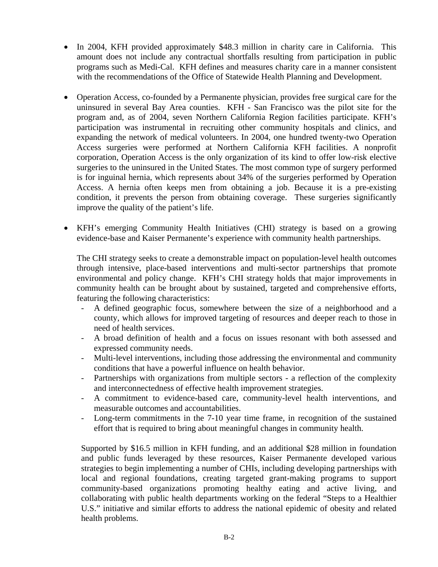- In 2004, KFH provided approximately \$48.3 million in charity care in California. This amount does not include any contractual shortfalls resulting from participation in public programs such as Medi-Cal. KFH defines and measures charity care in a manner consistent with the recommendations of the Office of Statewide Health Planning and Development.
- Operation Access, co-founded by a Permanente physician, provides free surgical care for the uninsured in several Bay Area counties. KFH - San Francisco was the pilot site for the program and, as of 2004, seven Northern California Region facilities participate. KFH's participation was instrumental in recruiting other community hospitals and clinics, and expanding the network of medical volunteers. In 2004, one hundred twenty-two Operation Access surgeries were performed at Northern California KFH facilities. A nonprofit corporation, Operation Access is the only organization of its kind to offer low-risk elective surgeries to the uninsured in the United States. The most common type of surgery performed is for inguinal hernia, which represents about 34% of the surgeries performed by Operation Access. A hernia often keeps men from obtaining a job. Because it is a pre-existing condition, it prevents the person from obtaining coverage. These surgeries significantly improve the quality of the patient's life.
- KFH's emerging Community Health Initiatives (CHI) strategy is based on a growing evidence-base and Kaiser Permanente's experience with community health partnerships.

The CHI strategy seeks to create a demonstrable impact on population-level health outcomes through intensive, place-based interventions and multi-sector partnerships that promote environmental and policy change. KFH's CHI strategy holds that major improvements in community health can be brought about by sustained, targeted and comprehensive efforts, featuring the following characteristics:

- A defined geographic focus, somewhere between the size of a neighborhood and a county, which allows for improved targeting of resources and deeper reach to those in need of health services.
- A broad definition of health and a focus on issues resonant with both assessed and expressed community needs.
- Multi-level interventions, including those addressing the environmental and community conditions that have a powerful influence on health behavior.
- Partnerships with organizations from multiple sectors a reflection of the complexity and interconnectedness of effective health improvement strategies.
- A commitment to evidence-based care, community-level health interventions, and measurable outcomes and accountabilities.
- Long-term commitments in the 7-10 year time frame, in recognition of the sustained effort that is required to bring about meaningful changes in community health.

Supported by \$16.5 million in KFH funding, and an additional \$28 million in foundation and public funds leveraged by these resources, Kaiser Permanente developed various strategies to begin implementing a number of CHIs, including developing partnerships with local and regional foundations, creating targeted grant-making programs to support community-based organizations promoting healthy eating and active living, and collaborating with public health departments working on the federal "Steps to a Healthier U.S." initiative and similar efforts to address the national epidemic of obesity and related health problems.